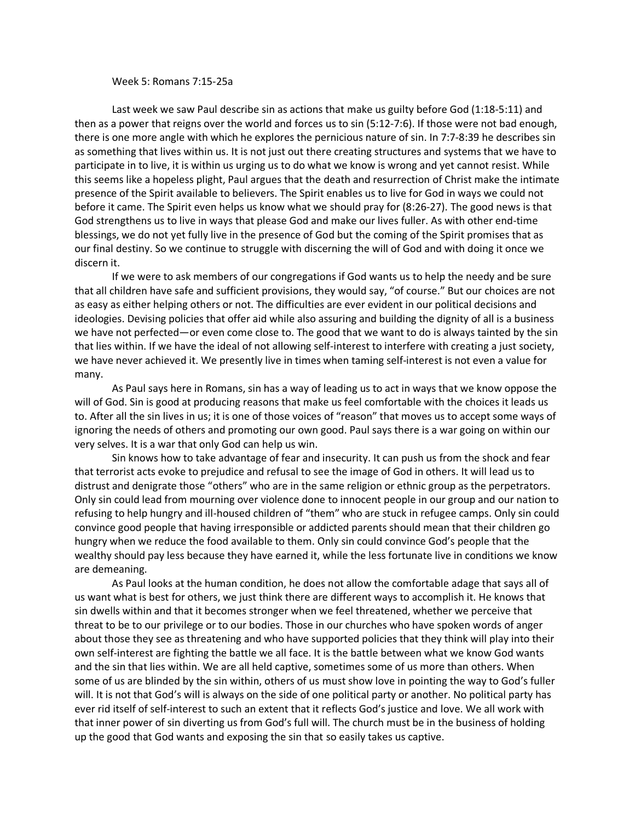## Week 5: Romans 7:15-25a

Last week we saw Paul describe sin as actions that make us guilty before God (1:18-5:11) and then as a power that reigns over the world and forces us to sin (5:12-7:6). If those were not bad enough, there is one more angle with which he explores the pernicious nature of sin. In 7:7-8:39 he describes sin as something that lives within us. It is not just out there creating structures and systems that we have to participate in to live, it is within us urging us to do what we know is wrong and yet cannot resist. While this seems like a hopeless plight, Paul argues that the death and resurrection of Christ make the intimate presence of the Spirit available to believers. The Spirit enables us to live for God in ways we could not before it came. The Spirit even helps us know what we should pray for (8:26-27). The good news is that God strengthens us to live in ways that please God and make our lives fuller. As with other end-time blessings, we do not yet fully live in the presence of God but the coming of the Spirit promises that as our final destiny. So we continue to struggle with discerning the will of God and with doing it once we discern it.

If we were to ask members of our congregations if God wants us to help the needy and be sure that all children have safe and sufficient provisions, they would say, "of course." But our choices are not as easy as either helping others or not. The difficulties are ever evident in our political decisions and ideologies. Devising policies that offer aid while also assuring and building the dignity of all is a business we have not perfected—or even come close to. The good that we want to do is always tainted by the sin that lies within. If we have the ideal of not allowing self-interest to interfere with creating a just society, we have never achieved it. We presently live in times when taming self-interest is not even a value for many.

As Paul says here in Romans, sin has a way of leading us to act in ways that we know oppose the will of God. Sin is good at producing reasons that make us feel comfortable with the choices it leads us to. After all the sin lives in us; it is one of those voices of "reason" that moves us to accept some ways of ignoring the needs of others and promoting our own good. Paul says there is a war going on within our very selves. It is a war that only God can help us win.

Sin knows how to take advantage of fear and insecurity. It can push us from the shock and fear that terrorist acts evoke to prejudice and refusal to see the image of God in others. It will lead us to distrust and denigrate those "others" who are in the same religion or ethnic group as the perpetrators. Only sin could lead from mourning over violence done to innocent people in our group and our nation to refusing to help hungry and ill-housed children of "them" who are stuck in refugee camps. Only sin could convince good people that having irresponsible or addicted parents should mean that their children go hungry when we reduce the food available to them. Only sin could convince God's people that the wealthy should pay less because they have earned it, while the less fortunate live in conditions we know are demeaning.

As Paul looks at the human condition, he does not allow the comfortable adage that says all of us want what is best for others, we just think there are different ways to accomplish it. He knows that sin dwells within and that it becomes stronger when we feel threatened, whether we perceive that threat to be to our privilege or to our bodies. Those in our churches who have spoken words of anger about those they see as threatening and who have supported policies that they think will play into their own self-interest are fighting the battle we all face. It is the battle between what we know God wants and the sin that lies within. We are all held captive, sometimes some of us more than others. When some of us are blinded by the sin within, others of us must show love in pointing the way to God's fuller will. It is not that God's will is always on the side of one political party or another. No political party has ever rid itself of self-interest to such an extent that it reflects God's justice and love. We all work with that inner power of sin diverting us from God's full will. The church must be in the business of holding up the good that God wants and exposing the sin that so easily takes us captive.